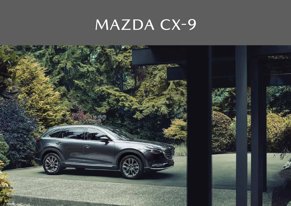# MAZDA CX-9

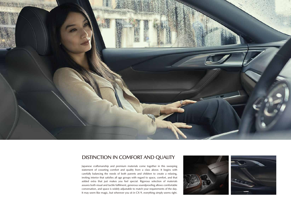

## DISTINCTION IN COMFORT AND QUALITY

Japanese craftsmanship and premium materials come together in this sweeping statement of cosseting comfort and quality from a class above. It begins with carefully balancing the needs of both parents and children to create a relaxing, inviting interior that satisfies all age groups with regard to space, comfort, and that added extra that just makes you feel special. Rigorous selection of materials assures both visual and tactile fulfilment, generous soundproofing allows comfortable conversation, and space is widely adjustable to match your requirements of the day. It may seem like magic, but wherever you sit in CX-9, everything simply seems right.



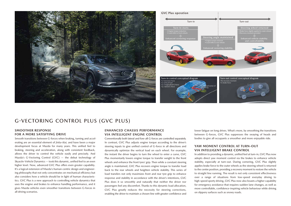

## G VECTORING CONTROL PLUS (GVC PLUS)

#### **SMOOTHER RESPONSE FOR A MORE SATISFYING DRIVE**

Smooth transitions between G-forces when braking, turning and accel erating are an essential element of *Jinba-ittai,* and have been a major development focus at Mazda for many years. This unified feel to braking, steering and acceleration, along with consistent feedback, allows the driver to control the vehicle easily and precisely. And Mazda's G-Vectoring Control (GVC) — the debut technology of Skyactiv-Vehicle Dynamics — took this dynamic, unified feel to an even higher level. Now, advanced GVC Plus offers even greater capability. It's a logical extension of Mazda's human-centric design and engineering philosophy that not only concentrates on mechanical effciency but also considers how a vehicle should be in light of human characteristics. GVC Plus is a new approach to controlling vehicle dynamics that uses the engine and brakes to enhance handling performance, and it gives Mazda vehicles even smoother transitions between G-forces in all driving scenarios.

#### **ENHANCED CHASSIS PERFORMANCE VIA INTELLIGENT ENGINE CONTROL**

Conventionally both lateral and fore-aft G-forces are controlled separately. In contrast, GVC Plus adjusts engine torque according to the driver's steering inputs to give unified control of G-force in all directions and dynamically optimize the vertical load on each wheel. For example, the instant the driver begins to turn the wheel to enter a curve, GVC Plus momentarily lowers engine torque to transfer weight to the front wheels and enhance the front tyres' grip. Then while a constant steering angle is maintained, GVC Plus recovers engine torque to transfer load back to the rear wheels and heighten vehicle stability. This series of load transfers not only maximizes front and rear tyre grip to enhance response and stability in accordance with the driver's intentions, GVC Plus does it so smoothly and naturally that neither the driver nor passengers feel any discomfort. Thanks to this dynamic load allocation, GVC Plus greatly reduces the necessity for steering corrections, enabling the driver to maintain a chosen line with greater confidence and

lower fatigue on long drives. What's more, by smoothing the transitions between G-forces, GVC Plus suppresses the swaying of heads and bodies to give all occupants a smoother and more enjoyable ride.

#### **YAW MOMENT CONTROL AT TURN-OUT VIA INTELLIGENT BRAKE CONTROL**

In addition to providing a dynamic, unified feel at turn-in, GVC Plus now adopts direct yaw moment control via the brakes to enhance vehicle stability, especially at turn-out. During cornering, GVC Plus slightly applies brake force to the outer wheels as the steering wheel is returned to the centre position, providing a recovery moment to restore the vehicle to straight line running. The result is not only consistent effectiveness over a range of situations from low-speed everyday driving to high-speed sporty driving, GVC Plus now also boasts a higher capability for emergency avoidance that requires sudden lane changes, as well as more controllable, confidence-inspiring vehicle behaviour while driving on slippery surfaces such as snowy roads.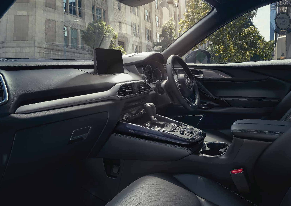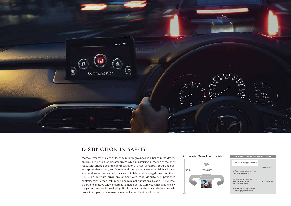

## DISTINCTION IN SAFETY

Mazda's Proactive Safety philosophy is firmly grounded in a belief in the driver's abilities, aiming to support safer driving while maintaining all the fun of the open road. Safer driving demands early recognition of potential hazards, good judgment and appropriate action, and Mazda works to support these essential functions so you can drive securely and with peace of mind despite changing driving conditions. First is an optimum driver environment with good visibility, well-positioned controls, easy-to-read instruments and minimal distractions. Next is i-Activsense, a portfolio of active safety measures to incrementally warn you when a potentially dangerous situation is developing. Finally there is passive safety, designed to help protect occupants and minimize injuries if an accident should occur.

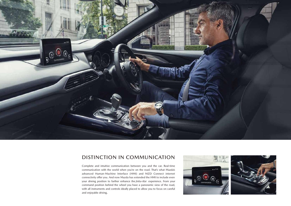

## DISTINCTION IN COMMUNICATION

Complete and intuitive communication between you and the car. Real-time communication with the world when you're on the road. That's what Mazda's advanced Human-Machine Interface (HMI) and MZD Connect internet connectivity offer you. And now Mazda has extended the HMI to include even your driving position to further enhance the *Jinba-ittai* experience. From your command position behind the wheel you have a panoramic view of the road, with all instruments and controls ideally placed to allow you to focus on careful and enjoyable driving.

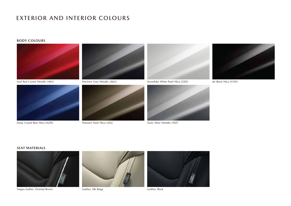## EXTERIOR AND INTERIOR COLOURS

#### **BODY COLOURS**



Deep Crystal Blue Mica (42M) Titanium Flash Mica (42S)

### **SEAT MATERIALS**



Nappa leather, Oriental Brown



Leather, Silk Beige **Leather, Black** 



Sonic Silver Metallic (45P)